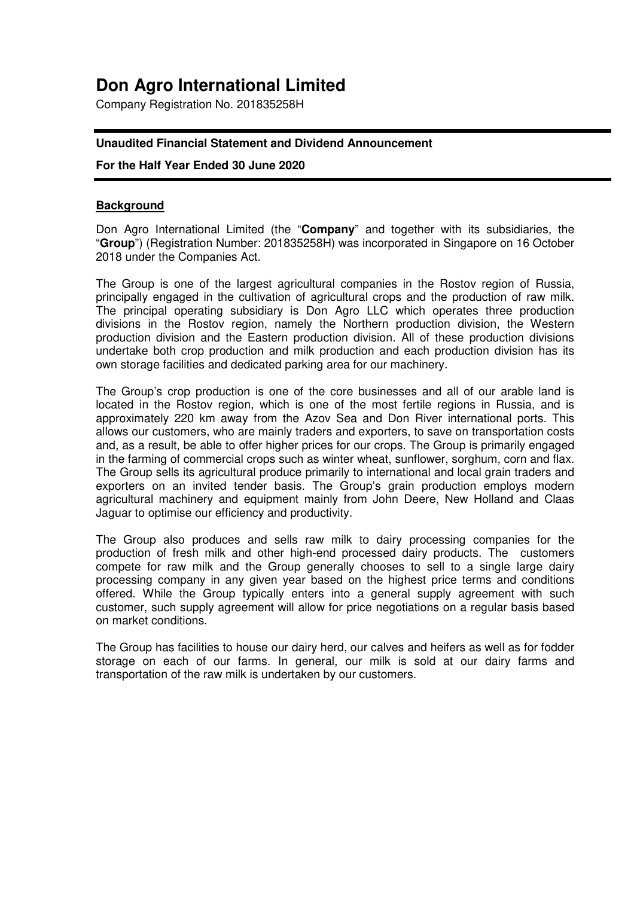# **Don Agro International Limited**

Company Registration No. 201835258H

# **Unaudited Financial Statement and Dividend Announcement**

## **For the Half Year Ended 30 June 2020**

## **Background**

Don Agro International Limited (the "**Company**" and together with its subsidiaries, the "**Group**") (Registration Number: 201835258H) was incorporated in Singapore on 16 October 2018 under the Companies Act.

The Group is one of the largest agricultural companies in the Rostov region of Russia, principally engaged in the cultivation of agricultural crops and the production of raw milk. The principal operating subsidiary is Don Agro LLC which operates three production divisions in the Rostov region, namely the Northern production division, the Western production division and the Eastern production division. All of these production divisions undertake both crop production and milk production and each production division has its own storage facilities and dedicated parking area for our machinery.

The Group's crop production is one of the core businesses and all of our arable land is located in the Rostov region, which is one of the most fertile regions in Russia, and is approximately 220 km away from the Azov Sea and Don River international ports. This allows our customers, who are mainly traders and exporters, to save on transportation costs and, as a result, be able to offer higher prices for our crops. The Group is primarily engaged in the farming of commercial crops such as winter wheat, sunflower, sorghum, corn and flax. The Group sells its agricultural produce primarily to international and local grain traders and exporters on an invited tender basis. The Group's grain production employs modern agricultural machinery and equipment mainly from John Deere, New Holland and Claas Jaguar to optimise our efficiency and productivity.

The Group also produces and sells raw milk to dairy processing companies for the production of fresh milk and other high-end processed dairy products. The customers compete for raw milk and the Group generally chooses to sell to a single large dairy processing company in any given year based on the highest price terms and conditions offered. While the Group typically enters into a general supply agreement with such customer, such supply agreement will allow for price negotiations on a regular basis based on market conditions.

The Group has facilities to house our dairy herd, our calves and heifers as well as for fodder storage on each of our farms. In general, our milk is sold at our dairy farms and transportation of the raw milk is undertaken by our customers.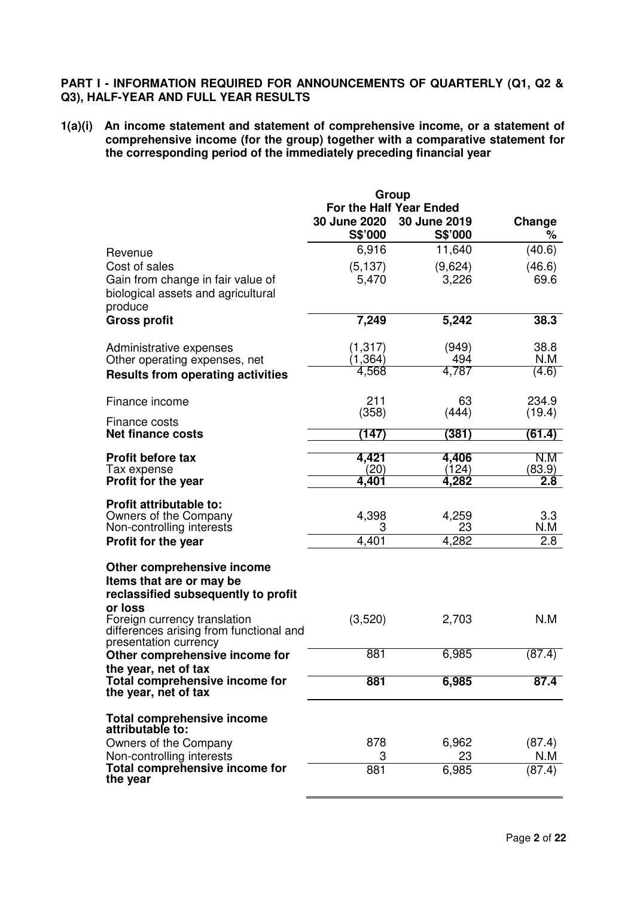# **PART I - INFORMATION REQUIRED FOR ANNOUNCEMENTS OF QUARTERLY (Q1, Q2 & Q3), HALF-YEAR AND FULL YEAR RESULTS**

**1(a)(i) An income statement and statement of comprehensive income, or a statement of comprehensive income (for the group) together with a comparative statement for the corresponding period of the immediately preceding financial year** 

|                                                        | Group                   |                |        |
|--------------------------------------------------------|-------------------------|----------------|--------|
|                                                        | For the Half Year Ended |                |        |
|                                                        | 30 June 2020            | 30 June 2019   | Change |
|                                                        | S\$'000                 | S\$'000        | %      |
| Revenue                                                | 6,916                   | 11,640         | (40.6) |
| Cost of sales                                          | (5, 137)                | (9,624)        | (46.6) |
| Gain from change in fair value of                      | 5,470                   | 3,226          | 69.6   |
| biological assets and agricultural                     |                         |                |        |
| produce                                                |                         |                |        |
| <b>Gross profit</b>                                    | 7,249                   | 5,242          | 38.3   |
|                                                        |                         |                |        |
| Administrative expenses                                | (1, 317)                | (949)          | 38.8   |
| Other operating expenses, net                          | (1,364)                 | 494            | N.M    |
| <b>Results from operating activities</b>               | 4,568                   | 4,787          | (4.6)  |
| Finance income                                         | 211                     | 63             | 234.9  |
| Finance costs                                          | (358)                   | (444)          | (19.4) |
| <b>Net finance costs</b>                               | (147)                   | (381)          | (61.4) |
|                                                        |                         |                |        |
| <b>Profit before tax</b>                               | 4,421                   | 4,406          | N.M    |
| Tax expense                                            | (20)<br>4,401           | (124)<br>4,282 | (83.9) |
| <b>Profit for the year</b>                             |                         |                | 2.8    |
| <b>Profit attributable to:</b>                         |                         |                |        |
| Owners of the Company                                  | 4,398                   | 4,259          | 3.3    |
| Non-controlling interests                              | 3                       | 23             | N.M    |
| Profit for the year                                    | 4,401                   | 4,282          | 2.8    |
|                                                        |                         |                |        |
| Other comprehensive income<br>Items that are or may be |                         |                |        |
| reclassified subsequently to profit                    |                         |                |        |
| or loss                                                |                         |                |        |
| Foreign currency translation                           | (3,520)                 | 2,703          | N.M    |
| differences arising from functional and                |                         |                |        |
| presentation currency                                  |                         |                |        |
| Other comprehensive income for                         | 881                     | 6,985          | (87.4) |
| the year, net of tax<br>Total comprehensive income for | 881                     | 6,985          | 87.4   |
| the year, net of tax                                   |                         |                |        |
|                                                        |                         |                |        |
| <b>Total comprehensive income</b><br>attributable to:  |                         |                |        |
| Owners of the Company                                  | 878                     | 6,962          | (87.4) |
| Non-controlling interests                              | 3                       | 23             | N.M    |
| Total comprehensive income for                         | 881                     | 6,985          | (87.4) |
| the year                                               |                         |                |        |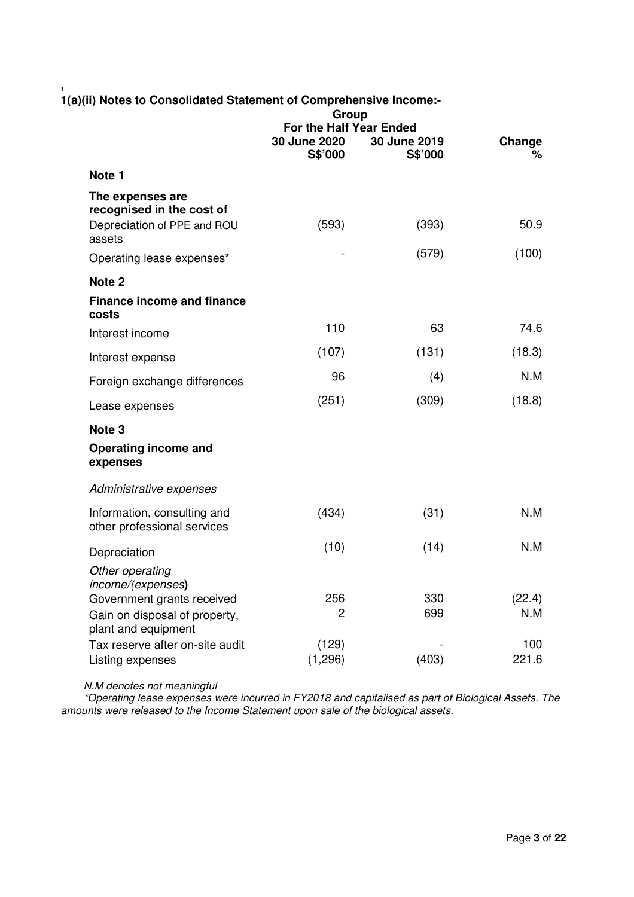| 1(a)(ii) Notes to Consolidated Statement of Comprehensive Income:- | Group                                              |                         |             |
|--------------------------------------------------------------------|----------------------------------------------------|-------------------------|-------------|
|                                                                    | For the Half Year Ended<br>30 June 2020<br>S\$'000 | 30 June 2019<br>S\$'000 | Change<br>% |
| Note 1                                                             |                                                    |                         |             |
| The expenses are<br>recognised in the cost of                      |                                                    |                         |             |
| Depreciation of PPE and ROU<br>assets                              | (593)                                              | (393)                   | 50.9        |
| Operating lease expenses*                                          |                                                    | (579)                   | (100)       |
| Note <sub>2</sub>                                                  |                                                    |                         |             |
| <b>Finance income and finance</b><br>costs                         |                                                    |                         |             |
| Interest income                                                    | 110                                                | 63                      | 74.6        |
| Interest expense                                                   | (107)                                              | (131)                   | (18.3)      |
| Foreign exchange differences                                       | 96                                                 | (4)                     | N.M         |
| Lease expenses                                                     | (251)                                              | (309)                   | (18.8)      |
| Note <sub>3</sub>                                                  |                                                    |                         |             |
| Operating income and<br>expenses                                   |                                                    |                         |             |
| Administrative expenses                                            |                                                    |                         |             |
| Information, consulting and<br>other professional services         | (434)                                              | (31)                    | N.M         |
| Depreciation                                                       | (10)                                               | (14)                    | N.M         |
| Other operating<br>income/(expenses)                               |                                                    |                         |             |
| Government grants received                                         | 256                                                | 330                     | (22.4)      |
| Gain on disposal of property,<br>plant and equipment               | $\overline{c}$                                     | 699                     | N.M         |
| Tax reserve after on-site audit                                    | (129)                                              |                         | 100         |
| Listing expenses                                                   | (1,296)                                            | (403)                   | 221.6       |

**,** 

 *N.M denotes not meaningful*

 *\*Operating lease expenses were incurred in FY2018 and capitalised as part of Biological Assets. The amounts were released to the Income Statement upon sale of the biological assets.*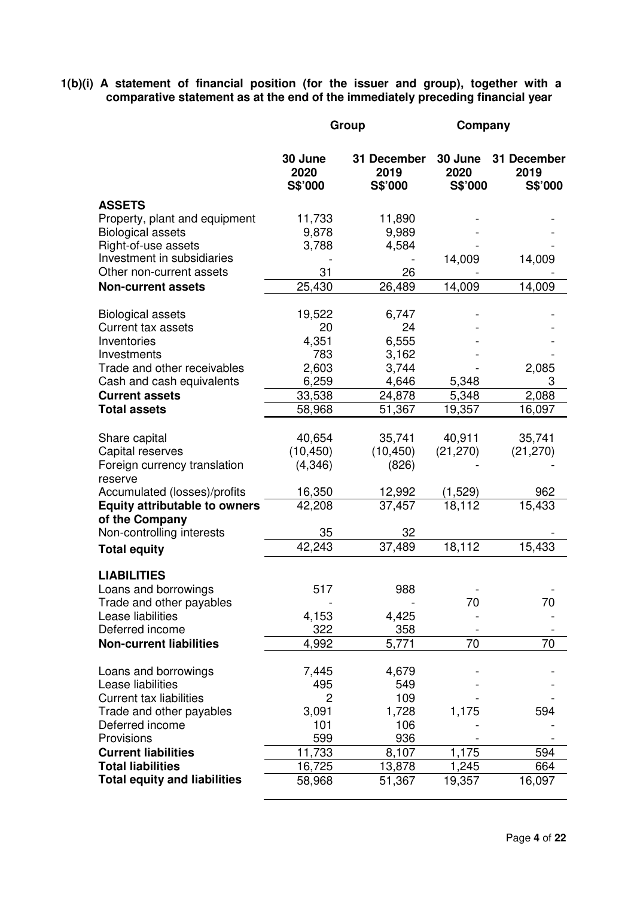**1(b)(i) A statement of financial position (for the issuer and group), together with a comparative statement as at the end of the immediately preceding financial year** 

|                                                        |                            | Group                          | Company                    |                                |
|--------------------------------------------------------|----------------------------|--------------------------------|----------------------------|--------------------------------|
|                                                        | 30 June<br>2020<br>S\$'000 | 31 December<br>2019<br>S\$'000 | 30 June<br>2020<br>S\$'000 | 31 December<br>2019<br>S\$'000 |
| <b>ASSETS</b>                                          |                            |                                |                            |                                |
| Property, plant and equipment                          | 11,733                     | 11,890                         |                            |                                |
| <b>Biological assets</b>                               | 9,878                      | 9,989                          |                            |                                |
| Right-of-use assets<br>Investment in subsidiaries      | 3,788                      | 4,584                          |                            |                                |
| Other non-current assets                               | 31                         | 26                             | 14,009                     | 14,009                         |
| <b>Non-current assets</b>                              | 25,430                     | 26,489                         | 14,009                     | 14,009                         |
|                                                        |                            |                                |                            |                                |
| <b>Biological assets</b>                               | 19,522                     | 6,747                          |                            |                                |
| <b>Current tax assets</b>                              | 20                         | 24                             |                            |                                |
| Inventories                                            | 4,351                      | 6,555                          |                            |                                |
| Investments<br>Trade and other receivables             | 783<br>2,603               | 3,162<br>3,744                 |                            | 2,085                          |
| Cash and cash equivalents                              | 6,259                      | 4,646                          | 5,348                      | 3                              |
| <b>Current assets</b>                                  | 33,538                     | 24,878                         | 5,348                      | 2,088                          |
| <b>Total assets</b>                                    | 58,968                     | 51,367                         | 19,357                     | 16,097                         |
|                                                        |                            |                                |                            |                                |
| Share capital                                          | 40,654                     | 35,741                         | 40,911                     | 35,741                         |
| Capital reserves                                       | (10, 450)                  | (10, 450)                      | (21, 270)                  | (21, 270)                      |
| Foreign currency translation                           | (4, 346)                   | (826)                          |                            |                                |
| reserve<br>Accumulated (losses)/profits                | 16,350                     | 12,992                         | <u>(1,529)</u>             | 962                            |
| <b>Equity attributable to owners</b>                   | 42,208                     | 37,457                         | 18,112                     | 15,433                         |
| of the Company                                         |                            |                                |                            |                                |
| Non-controlling interests                              | 35                         | 32                             |                            |                                |
| <b>Total equity</b>                                    | 42,243                     | 37,489                         | 18,112                     | 15,433                         |
| <b>LIABILITIES</b>                                     |                            |                                |                            |                                |
| Loans and borrowings                                   | 517                        | 988                            |                            |                                |
| Trade and other payables                               |                            |                                | 70                         | 70                             |
| Lease liabilities                                      | 4,153                      | 4,425                          |                            |                                |
| Deferred income                                        | 322                        | 358                            |                            |                                |
| <b>Non-current liabilities</b>                         | 4,992                      | 5,771                          | 70                         | 70                             |
| Loans and borrowings                                   | 7,445                      | 4,679                          |                            |                                |
| Lease liabilities                                      | 495                        | 549                            |                            |                                |
| <b>Current tax liabilities</b>                         | 2                          | 109                            |                            |                                |
| Trade and other payables                               | 3,091                      | 1,728                          | 1,175                      | 594                            |
| Deferred income                                        | 101                        | 106                            |                            |                                |
| Provisions                                             | 599                        | 936                            |                            |                                |
| <b>Current liabilities</b><br><b>Total liabilities</b> | 11,733                     | 8,107                          | 1,175                      | 594                            |
| <b>Total equity and liabilities</b>                    | 16,725<br>58,968           | 13,878<br>51,367               | 1,245<br>19,357            | 664<br>16,097                  |
|                                                        |                            |                                |                            |                                |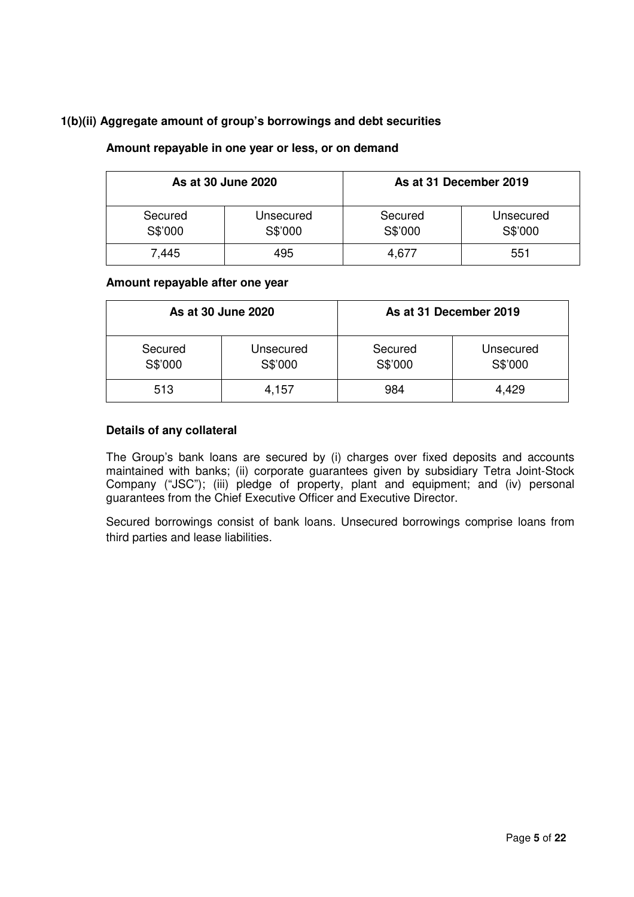# **1(b)(ii) Aggregate amount of group's borrowings and debt securities**

# **Amount repayable in one year or less, or on demand**

|                    | As at 30 June 2020   |                    | As at 31 December 2019 |
|--------------------|----------------------|--------------------|------------------------|
| Secured<br>S\$'000 | Unsecured<br>S\$'000 | Secured<br>S\$'000 | Unsecured<br>S\$'000   |
| 7.445              | 495                  | 4,677              | 551                    |

## **Amount repayable after one year**

|                    | As at 30 June 2020   |                    | As at 31 December 2019 |
|--------------------|----------------------|--------------------|------------------------|
| Secured<br>S\$'000 | Unsecured<br>S\$'000 | Secured<br>S\$'000 | Unsecured<br>S\$'000   |
| 513                | 4,157                | 984                | 4,429                  |

## **Details of any collateral**

The Group's bank loans are secured by (i) charges over fixed deposits and accounts maintained with banks; (ii) corporate guarantees given by subsidiary Tetra Joint-Stock Company ("JSC"); (iii) pledge of property, plant and equipment; and (iv) personal guarantees from the Chief Executive Officer and Executive Director.

Secured borrowings consist of bank loans. Unsecured borrowings comprise loans from third parties and lease liabilities.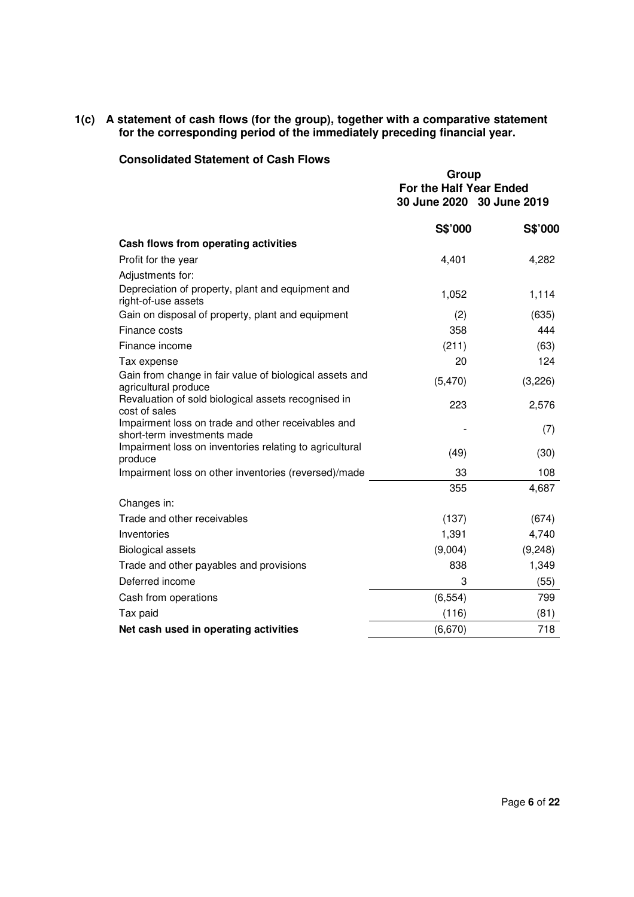## **1(c) A statement of cash flows (for the group), together with a comparative statement for the corresponding period of the immediately preceding financial year.**

# **Consolidated Statement of Cash Flows**

|                                                                                   | Group<br>For the Half Year Ended<br>30 June 2020 30 June 2019 |          |
|-----------------------------------------------------------------------------------|---------------------------------------------------------------|----------|
|                                                                                   | <b>S\$'000</b>                                                | S\$'000  |
| Cash flows from operating activities                                              |                                                               |          |
| Profit for the year                                                               | 4,401                                                         | 4,282    |
| Adjustments for:                                                                  |                                                               |          |
| Depreciation of property, plant and equipment and<br>right-of-use assets          | 1,052                                                         | 1,114    |
| Gain on disposal of property, plant and equipment                                 | (2)                                                           | (635)    |
| Finance costs                                                                     | 358                                                           | 444      |
| Finance income                                                                    | (211)                                                         | (63)     |
| Tax expense                                                                       | 20                                                            | 124      |
| Gain from change in fair value of biological assets and<br>agricultural produce   | (5, 470)                                                      | (3,226)  |
| Revaluation of sold biological assets recognised in<br>cost of sales              | 223                                                           | 2,576    |
| Impairment loss on trade and other receivables and<br>short-term investments made |                                                               | (7)      |
| Impairment loss on inventories relating to agricultural<br>produce                | (49)                                                          | (30)     |
| Impairment loss on other inventories (reversed)/made                              | 33                                                            | 108      |
|                                                                                   | 355                                                           | 4,687    |
| Changes in:                                                                       |                                                               |          |
| Trade and other receivables                                                       | (137)                                                         | (674)    |
| Inventories                                                                       | 1,391                                                         | 4,740    |
| <b>Biological assets</b>                                                          | (9,004)                                                       | (9, 248) |
| Trade and other payables and provisions                                           | 838                                                           | 1,349    |
| Deferred income                                                                   | 3                                                             | (55)     |
| Cash from operations                                                              | (6, 554)                                                      | 799      |
| Tax paid                                                                          | (116)                                                         | (81)     |
| Net cash used in operating activities                                             | (6,670)                                                       | 718      |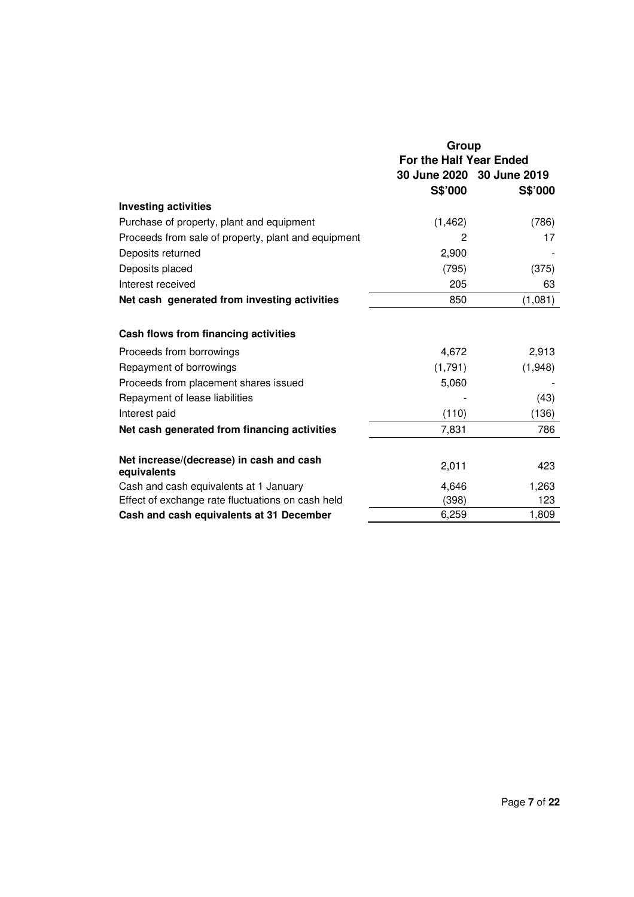|                                                         | Group                                                |         |  |
|---------------------------------------------------------|------------------------------------------------------|---------|--|
|                                                         | For the Half Year Ended<br>30 June 2020 30 June 2019 |         |  |
|                                                         | S\$'000                                              | S\$'000 |  |
| <b>Investing activities</b>                             |                                                      |         |  |
| Purchase of property, plant and equipment               | (1, 462)                                             | (786)   |  |
| Proceeds from sale of property, plant and equipment     | 2                                                    | 17      |  |
| Deposits returned                                       | 2,900                                                |         |  |
| Deposits placed                                         | (795)                                                | (375)   |  |
| Interest received                                       | 205                                                  | 63      |  |
| Net cash generated from investing activities            | 850                                                  | (1,081) |  |
|                                                         |                                                      |         |  |
| Cash flows from financing activities                    |                                                      |         |  |
| Proceeds from borrowings                                | 4,672                                                | 2,913   |  |
| Repayment of borrowings                                 | (1,791)                                              | (1,948) |  |
| Proceeds from placement shares issued                   | 5,060                                                |         |  |
| Repayment of lease liabilities                          |                                                      | (43)    |  |
| Interest paid                                           | (110)                                                | (136)   |  |
| Net cash generated from financing activities            | 7,831                                                | 786     |  |
|                                                         |                                                      |         |  |
| Net increase/(decrease) in cash and cash<br>equivalents | 2,011                                                | 423     |  |
| Cash and cash equivalents at 1 January                  | 4,646                                                | 1,263   |  |
| Effect of exchange rate fluctuations on cash held       | (398)                                                | 123     |  |
| Cash and cash equivalents at 31 December                | 6,259                                                | 1,809   |  |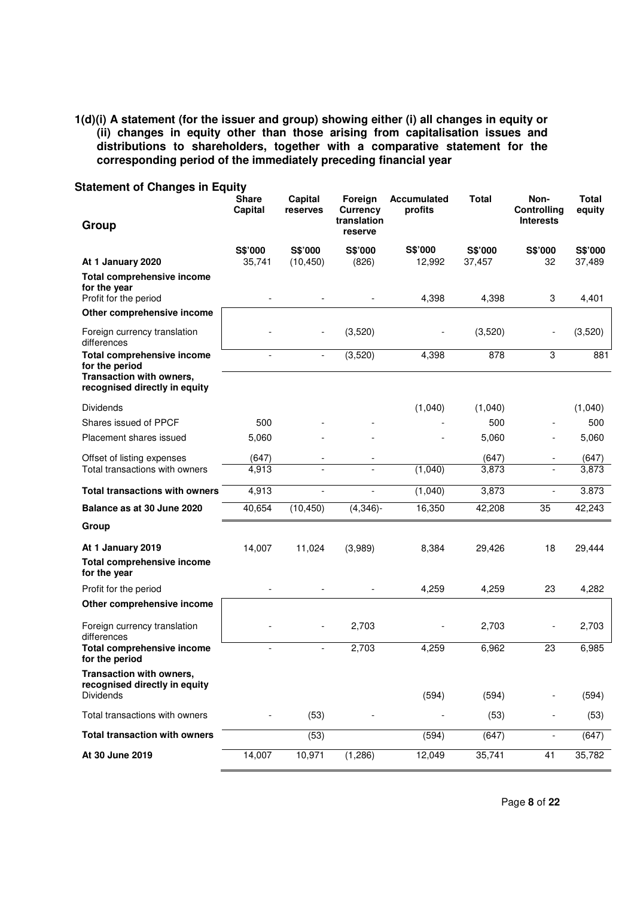**1(d)(i) A statement (for the issuer and group) showing either (i) all changes in equity or (ii) changes in equity other than those arising from capitalisation issues and distributions to shareholders, together with a comparative statement for the corresponding period of the immediately preceding financial year** 

| <b>Statement of Changes in Equity</b>                                  | Share<br>Capital | Capital<br>reserves | Foreign<br>Currency      | <b>Accumulated</b><br>profits | <b>Total</b> | Non-<br>Controlling          | Total<br>equity   |
|------------------------------------------------------------------------|------------------|---------------------|--------------------------|-------------------------------|--------------|------------------------------|-------------------|
| Group                                                                  |                  |                     | translation<br>reserve   |                               |              | <b>Interests</b>             |                   |
| At 1 January 2020                                                      | S\$'000          | S\$'000             | S\$'000                  | S\$'000<br>12,992             | S\$'000      | S\$'000<br>32                | S\$'000<br>37,489 |
| <b>Total comprehensive income</b>                                      | 35,741           | (10, 450)           | (826)                    |                               | 37,457       |                              |                   |
| for the year<br>Profit for the period                                  |                  |                     |                          | 4,398                         | 4,398        | 3                            | 4,401             |
| Other comprehensive income                                             |                  |                     |                          |                               |              |                              |                   |
| Foreign currency translation<br>differences                            |                  |                     | (3,520)                  |                               | (3,520)      |                              | (3,520)           |
| <b>Total comprehensive income</b><br>for the period                    |                  |                     | (3,520)                  | 4,398                         | 878          | 3                            | 881               |
| Transaction with owners,<br>recognised directly in equity              |                  |                     |                          |                               |              |                              |                   |
| <b>Dividends</b>                                                       |                  |                     |                          | (1,040)                       | (1,040)      |                              | (1,040)           |
| Shares issued of PPCF                                                  | 500              |                     |                          |                               | 500          |                              | 500               |
| Placement shares issued                                                | 5,060            |                     |                          |                               | 5.060        |                              | 5,060             |
| Offset of listing expenses                                             | (647)            |                     |                          |                               | (647)        |                              | (647)             |
| Total transactions with owners                                         | 4,913            |                     |                          | (1,040)                       | 3,873        |                              | 3,873             |
| <b>Total transactions with owners</b>                                  | 4,913            | $\overline{a}$      | $\overline{\phantom{a}}$ | (1,040)                       | 3,873        |                              | 3.873             |
| Balance as at 30 June 2020                                             | 40,654           | (10, 450)           | $(4,346)$ -              | 16,350                        | 42,208       | 35                           | 42,243            |
| Group                                                                  |                  |                     |                          |                               |              |                              |                   |
| At 1 January 2019                                                      | 14,007           | 11,024              | (3,989)                  | 8,384                         | 29,426       | 18                           | 29,444            |
| <b>Total comprehensive income</b><br>for the year                      |                  |                     |                          |                               |              |                              |                   |
| Profit for the period                                                  |                  |                     |                          | 4,259                         | 4,259        | 23                           | 4,282             |
| Other comprehensive income                                             |                  |                     |                          |                               |              |                              |                   |
| Foreign currency translation<br>differences                            |                  |                     | 2,703                    |                               | 2,703        |                              | 2,703             |
| <b>Total comprehensive income</b><br>for the period                    |                  |                     | 2,703                    | 4,259                         | 6,962        | 23                           | 6,985             |
| Transaction with owners,<br>recognised directly in equity<br>Dividends |                  |                     |                          | (594)                         | (594)        |                              | (594)             |
| Total transactions with owners                                         |                  | (53)                |                          |                               | (53)         |                              | (53)              |
| <b>Total transaction with owners</b>                                   |                  | (53)                |                          | (594)                         | (647)        | $\qquad \qquad \blacksquare$ | (647)             |
| At 30 June 2019                                                        | 14,007           | 10,971              | (1, 286)                 | 12,049                        | 35,741       | 41                           | 35,782            |

Page **8** of **22**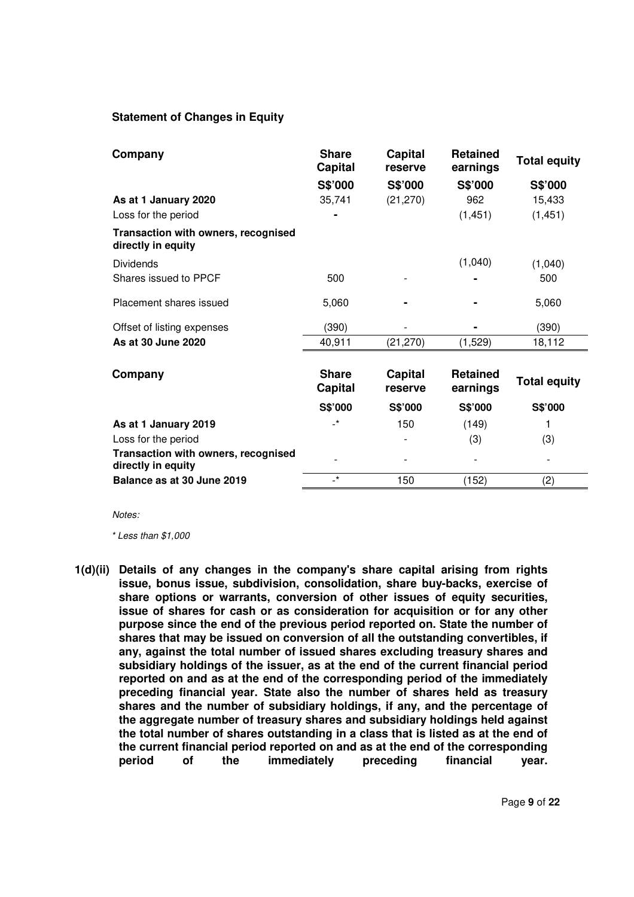## **Statement of Changes in Equity**

| Company                                                   | <b>Share</b><br><b>Capital</b> | Capital<br>reserve        | <b>Retained</b><br>earnings | <b>Total equity</b> |
|-----------------------------------------------------------|--------------------------------|---------------------------|-----------------------------|---------------------|
|                                                           | S\$'000                        | S\$'000                   | S\$'000                     | S\$'000             |
| As at 1 January 2020                                      | 35,741                         | (21, 270)                 | 962                         | 15,433              |
| Loss for the period                                       |                                |                           | (1, 451)                    | (1, 451)            |
| Transaction with owners, recognised<br>directly in equity |                                |                           |                             |                     |
| <b>Dividends</b>                                          |                                |                           | (1,040)                     | (1,040)             |
| Shares issued to PPCF                                     | 500                            |                           |                             | 500                 |
| Placement shares issued                                   | 5,060                          |                           |                             | 5,060               |
| Offset of listing expenses                                | (390)                          |                           |                             | (390)               |
| As at 30 June 2020                                        | 40,911                         | (21, 270)                 | (1,529)                     | 18,112              |
| Company                                                   | <b>Share</b><br>Capital        | <b>Capital</b><br>reserve | <b>Retained</b><br>earnings | <b>Total equity</b> |
|                                                           | S\$'000                        | S\$'000                   | S\$'000                     | S\$'000             |
| As at 1 January 2019                                      | $\overline{\phantom{a}}^*$     | 150                       | (149)                       |                     |
| Loss for the period                                       |                                |                           | (3)                         | (3)                 |
| Transaction with owners, recognised<br>directly in equity |                                |                           |                             |                     |
| Balance as at 30 June 2019                                | $\mathbf{r}^*$                 | 150                       | (152)                       | (2)                 |

*Notes:* 

 *\* Less than \$1,000* 

**1(d)(ii) Details of any changes in the company's share capital arising from rights issue, bonus issue, subdivision, consolidation, share buy-backs, exercise of share options or warrants, conversion of other issues of equity securities, issue of shares for cash or as consideration for acquisition or for any other purpose since the end of the previous period reported on. State the number of shares that may be issued on conversion of all the outstanding convertibles, if any, against the total number of issued shares excluding treasury shares and subsidiary holdings of the issuer, as at the end of the current financial period reported on and as at the end of the corresponding period of the immediately preceding financial year. State also the number of shares held as treasury shares and the number of subsidiary holdings, if any, and the percentage of the aggregate number of treasury shares and subsidiary holdings held against the total number of shares outstanding in a class that is listed as at the end of the current financial period reported on and as at the end of the corresponding period of the immediately preceding financial year.**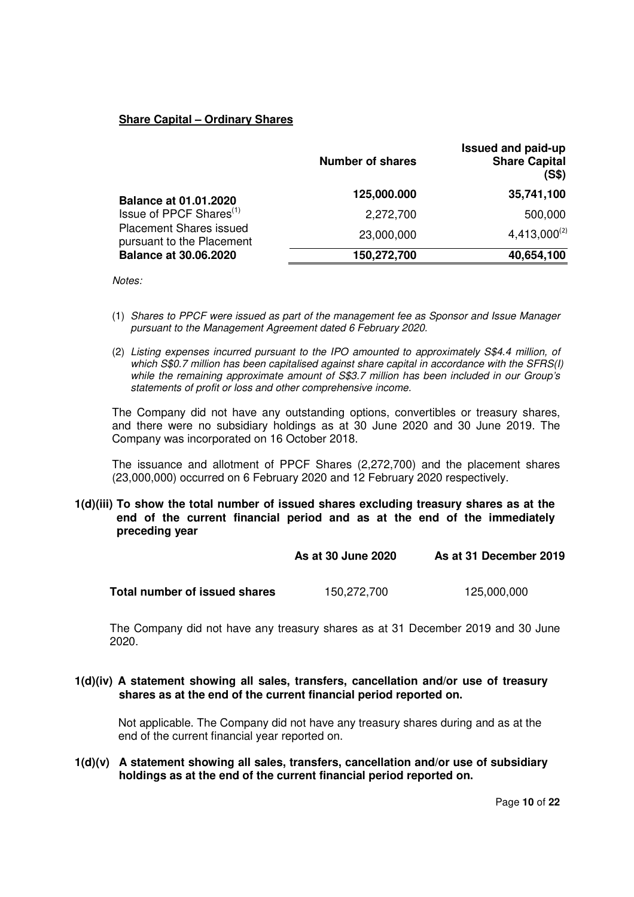# **Share Capital – Ordinary Shares**

|                                                             | <b>Number of shares</b> | <b>Issued and paid-up</b><br><b>Share Capital</b><br>(S\$) |
|-------------------------------------------------------------|-------------------------|------------------------------------------------------------|
| <b>Balance at 01.01.2020</b>                                | 125,000.000             | 35,741,100                                                 |
| Issue of PPCF Shares <sup>(1)</sup>                         | 2,272,700               | 500,000                                                    |
| <b>Placement Shares issued</b><br>pursuant to the Placement | 23,000,000              | $4,413,000^{(2)}$                                          |
| <b>Balance at 30.06.2020</b>                                | 150,272,700             | 40,654,100                                                 |

*Notes:* 

- (1) *Shares to PPCF were issued as part of the management fee as Sponsor and Issue Manager pursuant to the Management Agreement dated 6 February 2020.*
- (2) *Listing expenses incurred pursuant to the IPO amounted to approximately S\$4.4 million, of which S\$0.7 million has been capitalised against share capital in accordance with the SFRS(I) while the remaining approximate amount of S\$3.7 million has been included in our Group's statements of profit or loss and other comprehensive income.*

The Company did not have any outstanding options, convertibles or treasury shares, and there were no subsidiary holdings as at 30 June 2020 and 30 June 2019. The Company was incorporated on 16 October 2018.

The issuance and allotment of PPCF Shares (2,272,700) and the placement shares (23,000,000) occurred on 6 February 2020 and 12 February 2020 respectively.

## **1(d)(iii) To show the total number of issued shares excluding treasury shares as at the end of the current financial period and as at the end of the immediately preceding year**

|                               | As at 30 June 2020 | As at 31 December 2019 |  |  |
|-------------------------------|--------------------|------------------------|--|--|
| Total number of issued shares | 150,272,700        | 125,000,000            |  |  |

The Company did not have any treasury shares as at 31 December 2019 and 30 June 2020.

**1(d)(iv) A statement showing all sales, transfers, cancellation and/or use of treasury shares as at the end of the current financial period reported on.** 

Not applicable. The Company did not have any treasury shares during and as at the end of the current financial year reported on.

**1(d)(v) A statement showing all sales, transfers, cancellation and/or use of subsidiary holdings as at the end of the current financial period reported on.**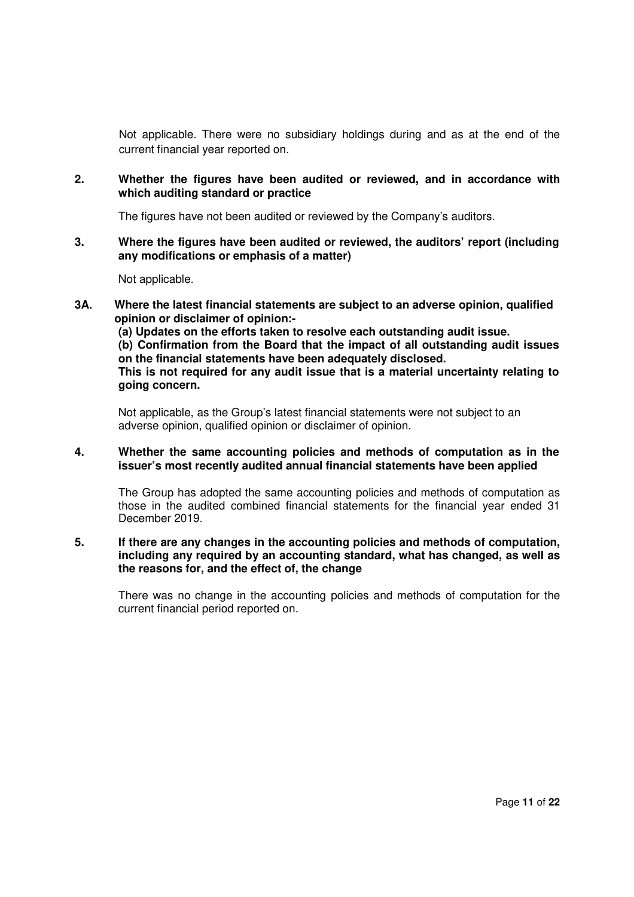Not applicable. There were no subsidiary holdings during and as at the end of the current financial year reported on.

**2. Whether the figures have been audited or reviewed, and in accordance with which auditing standard or practice** 

The figures have not been audited or reviewed by the Company's auditors.

**3. Where the figures have been audited or reviewed, the auditors' report (including any modifications or emphasis of a matter)** 

Not applicable.

**3A. Where the latest financial statements are subject to an adverse opinion, qualified opinion or disclaimer of opinion:-** 

**(a) Updates on the efforts taken to resolve each outstanding audit issue.** 

**(b) Confirmation from the Board that the impact of all outstanding audit issues on the financial statements have been adequately disclosed.** 

**This is not required for any audit issue that is a material uncertainty relating to going concern.** 

Not applicable, as the Group's latest financial statements were not subject to an adverse opinion, qualified opinion or disclaimer of opinion.

## **4. Whether the same accounting policies and methods of computation as in the issuer's most recently audited annual financial statements have been applied**

The Group has adopted the same accounting policies and methods of computation as those in the audited combined financial statements for the financial year ended 31 December 2019.

## **5. If there are any changes in the accounting policies and methods of computation, including any required by an accounting standard, what has changed, as well as the reasons for, and the effect of, the change**

There was no change in the accounting policies and methods of computation for the current financial period reported on.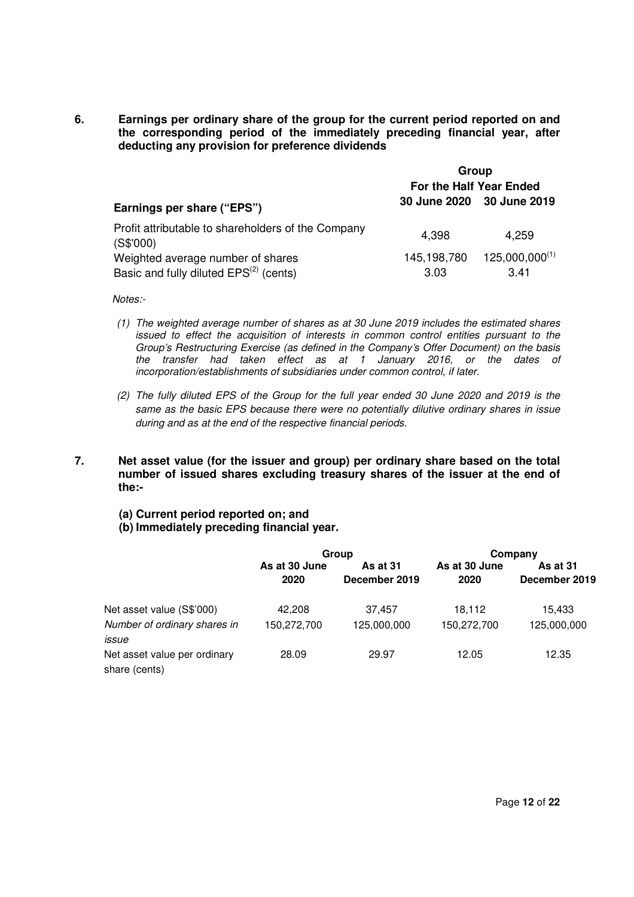**6. Earnings per ordinary share of the group for the current period reported on and the corresponding period of the immediately preceding financial year, after deducting any provision for preference dividends** 

|                                                                 | Group                   |                           |  |  |
|-----------------------------------------------------------------|-------------------------|---------------------------|--|--|
|                                                                 | For the Half Year Ended |                           |  |  |
| Earnings per share ("EPS")                                      |                         | 30 June 2020 30 June 2019 |  |  |
| Profit attributable to shareholders of the Company<br>(S\$'000) | 4,398                   | 4,259                     |  |  |
| Weighted average number of shares                               | 145,198,780             | $125,000,000^{(1)}$       |  |  |
| Basic and fully diluted EPS <sup>(2)</sup> (cents)              | 3.03                    | 3.41                      |  |  |

*Notes:-* 

- *(1) The weighted average number of shares as at 30 June 2019 includes the estimated shares issued to effect the acquisition of interests in common control entities pursuant to the Group's Restructuring Exercise (as defined in the Company's Offer Document) on the basis the transfer had taken effect as at 1 January 2016, or the dates of incorporation/establishments of subsidiaries under common control, if later.*
- *(2) The fully diluted EPS of the Group for the full year ended 30 June 2020 and 2019 is the same as the basic EPS because there were no potentially dilutive ordinary shares in issue during and as at the end of the respective financial periods.*
- **7. Net asset value (for the issuer and group) per ordinary share based on the total number of issued shares excluding treasury shares of the issuer at the end of the:-** 
	- **(a) Current period reported on; and**
	- **(b) Immediately preceding financial year.**

|                                               | Group                 |                           | Company               |                           |
|-----------------------------------------------|-----------------------|---------------------------|-----------------------|---------------------------|
|                                               | As at 30 June<br>2020 | As at 31<br>December 2019 | As at 30 June<br>2020 | As at 31<br>December 2019 |
| Net asset value (S\$'000)                     | 42.208                | 37.457                    | 18,112                | 15.433                    |
| Number of ordinary shares in<br>issue         | 150,272,700           | 125,000,000               | 150,272,700           | 125,000,000               |
| Net asset value per ordinary<br>share (cents) | 28.09                 | 29.97                     | 12.05                 | 12.35                     |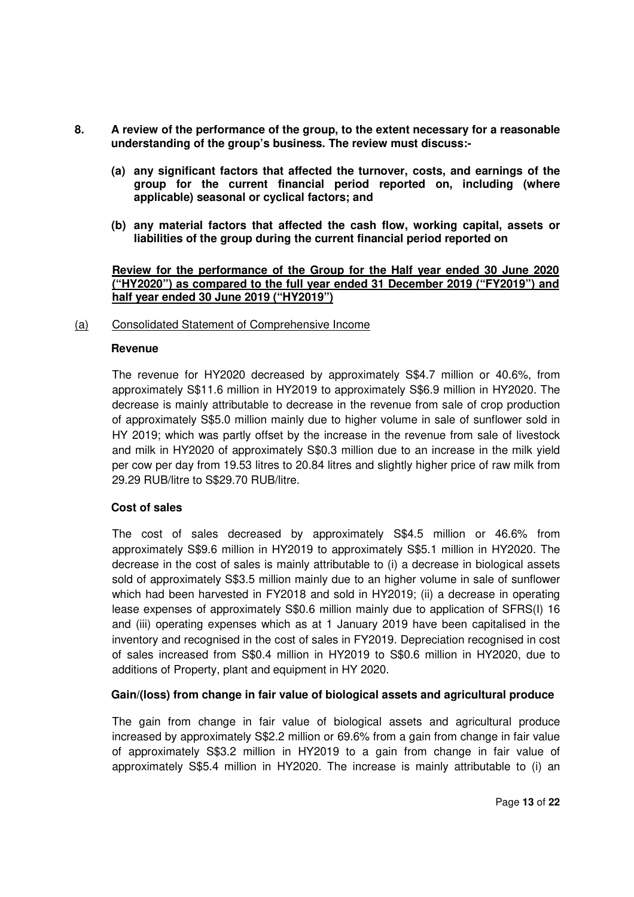- **8. A review of the performance of the group, to the extent necessary for a reasonable understanding of the group's business. The review must discuss:-** 
	- **(a) any significant factors that affected the turnover, costs, and earnings of the group for the current financial period reported on, including (where applicable) seasonal or cyclical factors; and**
	- **(b) any material factors that affected the cash flow, working capital, assets or liabilities of the group during the current financial period reported on**

## **Review for the performance of the Group for the Half year ended 30 June 2020 ("HY2020") as compared to the full year ended 31 December 2019 ("FY2019") and half year ended 30 June 2019 ("HY2019")**

#### (a) Consolidated Statement of Comprehensive Income

## **Revenue**

The revenue for HY2020 decreased by approximately S\$4.7 million or 40.6%, from approximately S\$11.6 million in HY2019 to approximately S\$6.9 million in HY2020. The decrease is mainly attributable to decrease in the revenue from sale of crop production of approximately S\$5.0 million mainly due to higher volume in sale of sunflower sold in HY 2019; which was partly offset by the increase in the revenue from sale of livestock and milk in HY2020 of approximately S\$0.3 million due to an increase in the milk yield per cow per day from 19.53 litres to 20.84 litres and slightly higher price of raw milk from 29.29 RUB/litre to S\$29.70 RUB/litre.

# **Cost of sales**

The cost of sales decreased by approximately S\$4.5 million or 46.6% from approximately S\$9.6 million in HY2019 to approximately S\$5.1 million in HY2020. The decrease in the cost of sales is mainly attributable to (i) a decrease in biological assets sold of approximately S\$3.5 million mainly due to an higher volume in sale of sunflower which had been harvested in FY2018 and sold in HY2019; (ii) a decrease in operating lease expenses of approximately S\$0.6 million mainly due to application of SFRS(I) 16 and (iii) operating expenses which as at 1 January 2019 have been capitalised in the inventory and recognised in the cost of sales in FY2019. Depreciation recognised in cost of sales increased from S\$0.4 million in HY2019 to S\$0.6 million in HY2020, due to additions of Property, plant and equipment in HY 2020.

# **Gain/(loss) from change in fair value of biological assets and agricultural produce**

The gain from change in fair value of biological assets and agricultural produce increased by approximately S\$2.2 million or 69.6% from a gain from change in fair value of approximately S\$3.2 million in HY2019 to a gain from change in fair value of approximately S\$5.4 million in HY2020. The increase is mainly attributable to (i) an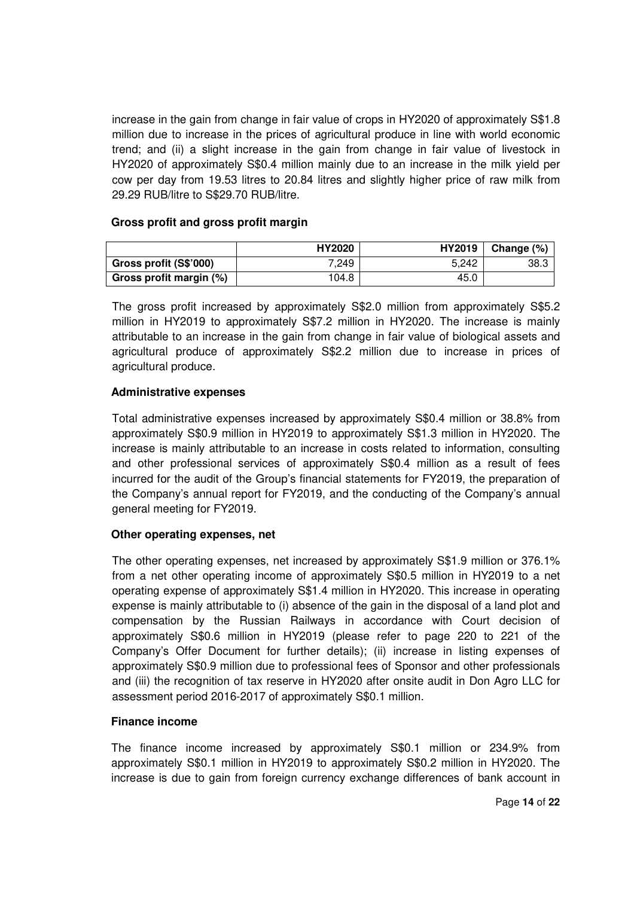increase in the gain from change in fair value of crops in HY2020 of approximately S\$1.8 million due to increase in the prices of agricultural produce in line with world economic trend; and (ii) a slight increase in the gain from change in fair value of livestock in HY2020 of approximately S\$0.4 million mainly due to an increase in the milk yield per cow per day from 19.53 litres to 20.84 litres and slightly higher price of raw milk from 29.29 RUB/litre to S\$29.70 RUB/litre.

# **Gross profit and gross profit margin**

|                         | HY2020 | HY2019 | Change $(\%)$ |
|-------------------------|--------|--------|---------------|
| Gross profit (S\$'000)  | 7,249  | 5.242  | 38.3          |
| Gross profit margin (%) | 104.8  | 45.0   |               |

The gross profit increased by approximately S\$2.0 million from approximately S\$5.2 million in HY2019 to approximately S\$7.2 million in HY2020. The increase is mainly attributable to an increase in the gain from change in fair value of biological assets and agricultural produce of approximately S\$2.2 million due to increase in prices of agricultural produce.

# **Administrative expenses**

Total administrative expenses increased by approximately S\$0.4 million or 38.8% from approximately S\$0.9 million in HY2019 to approximately S\$1.3 million in HY2020. The increase is mainly attributable to an increase in costs related to information, consulting and other professional services of approximately S\$0.4 million as a result of fees incurred for the audit of the Group's financial statements for FY2019, the preparation of the Company's annual report for FY2019, and the conducting of the Company's annual general meeting for FY2019.

# **Other operating expenses, net**

The other operating expenses, net increased by approximately S\$1.9 million or 376.1% from a net other operating income of approximately S\$0.5 million in HY2019 to a net operating expense of approximately S\$1.4 million in HY2020. This increase in operating expense is mainly attributable to (i) absence of the gain in the disposal of a land plot and compensation by the Russian Railways in accordance with Court decision of approximately S\$0.6 million in HY2019 (please refer to page 220 to 221 of the Company's Offer Document for further details); (ii) increase in listing expenses of approximately S\$0.9 million due to professional fees of Sponsor and other professionals and (iii) the recognition of tax reserve in HY2020 after onsite audit in Don Agro LLC for assessment period 2016-2017 of approximately S\$0.1 million.

# **Finance income**

The finance income increased by approximately S\$0.1 million or 234.9% from approximately S\$0.1 million in HY2019 to approximately S\$0.2 million in HY2020. The increase is due to gain from foreign currency exchange differences of bank account in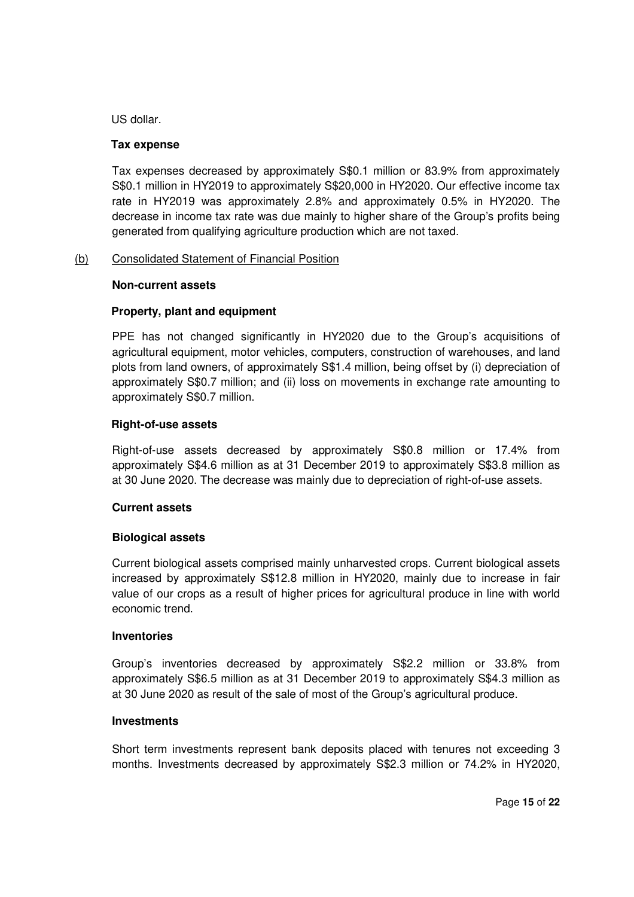US dollar.

## **Tax expense**

Tax expenses decreased by approximately S\$0.1 million or 83.9% from approximately S\$0.1 million in HY2019 to approximately S\$20,000 in HY2020. Our effective income tax rate in HY2019 was approximately 2.8% and approximately 0.5% in HY2020. The decrease in income tax rate was due mainly to higher share of the Group's profits being generated from qualifying agriculture production which are not taxed.

# (b) Consolidated Statement of Financial Position

## **Non-current assets**

# **Property, plant and equipment**

PPE has not changed significantly in HY2020 due to the Group's acquisitions of agricultural equipment, motor vehicles, computers, construction of warehouses, and land plots from land owners, of approximately S\$1.4 million, being offset by (i) depreciation of approximately S\$0.7 million; and (ii) loss on movements in exchange rate amounting to approximately S\$0.7 million.

## **Right-of-use assets**

Right-of-use assets decreased by approximately S\$0.8 million or 17.4% from approximately S\$4.6 million as at 31 December 2019 to approximately S\$3.8 million as at 30 June 2020. The decrease was mainly due to depreciation of right-of-use assets.

# **Current assets**

# **Biological assets**

Current biological assets comprised mainly unharvested crops. Current biological assets increased by approximately S\$12.8 million in HY2020, mainly due to increase in fair value of our crops as a result of higher prices for agricultural produce in line with world economic trend.

#### **Inventories**

Group's inventories decreased by approximately S\$2.2 million or 33.8% from approximately S\$6.5 million as at 31 December 2019 to approximately S\$4.3 million as at 30 June 2020 as result of the sale of most of the Group's agricultural produce.

#### **Investments**

Short term investments represent bank deposits placed with tenures not exceeding 3 months. Investments decreased by approximately S\$2.3 million or 74.2% in HY2020,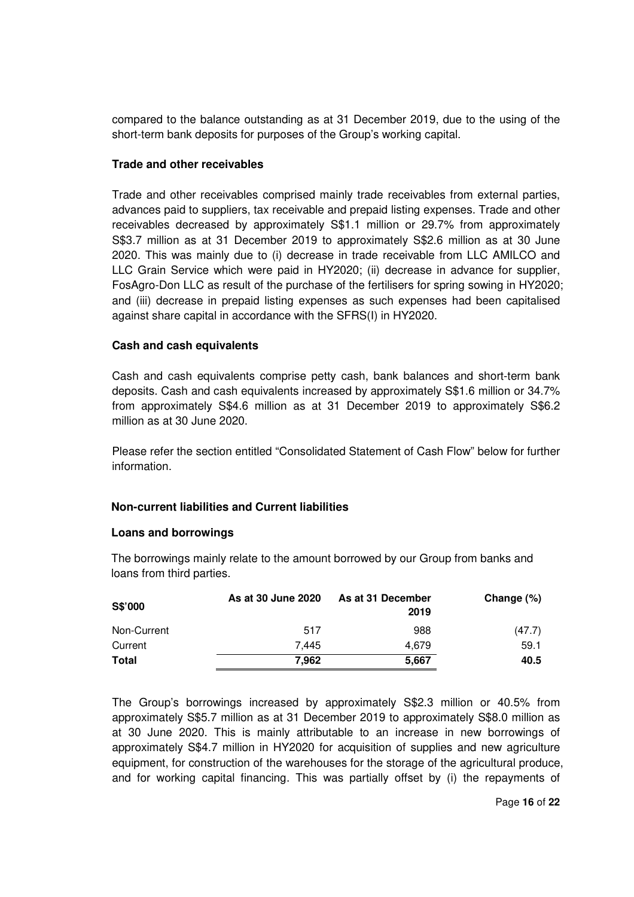compared to the balance outstanding as at 31 December 2019, due to the using of the short-term bank deposits for purposes of the Group's working capital.

# **Trade and other receivables**

Trade and other receivables comprised mainly trade receivables from external parties, advances paid to suppliers, tax receivable and prepaid listing expenses. Trade and other receivables decreased by approximately S\$1.1 million or 29.7% from approximately S\$3.7 million as at 31 December 2019 to approximately S\$2.6 million as at 30 June 2020. This was mainly due to (i) decrease in trade receivable from LLC AMILCO and LLC Grain Service which were paid in HY2020; (ii) decrease in advance for supplier, FosAgro-Don LLC as result of the purchase of the fertilisers for spring sowing in HY2020; and (iii) decrease in prepaid listing expenses as such expenses had been capitalised against share capital in accordance with the SFRS(I) in HY2020.

# **Cash and cash equivalents**

Cash and cash equivalents comprise petty cash, bank balances and short-term bank deposits. Cash and cash equivalents increased by approximately S\$1.6 million or 34.7% from approximately S\$4.6 million as at 31 December 2019 to approximately S\$6.2 million as at 30 June 2020.

Please refer the section entitled "Consolidated Statement of Cash Flow" below for further information.

# **Non-current liabilities and Current liabilities**

# **Loans and borrowings**

The borrowings mainly relate to the amount borrowed by our Group from banks and loans from third parties.

| S\$'000      | As at 30 June 2020 | As at 31 December<br>2019 | Change $(\%)$ |
|--------------|--------------------|---------------------------|---------------|
| Non-Current  | 517                | 988                       | (47.7)        |
| Current      | 7.445              | 4.679                     | 59.1          |
| <b>Total</b> | 7.962              | 5,667                     | 40.5          |

The Group's borrowings increased by approximately S\$2.3 million or 40.5% from approximately S\$5.7 million as at 31 December 2019 to approximately S\$8.0 million as at 30 June 2020. This is mainly attributable to an increase in new borrowings of approximately S\$4.7 million in HY2020 for acquisition of supplies and new agriculture equipment, for construction of the warehouses for the storage of the agricultural produce, and for working capital financing. This was partially offset by (i) the repayments of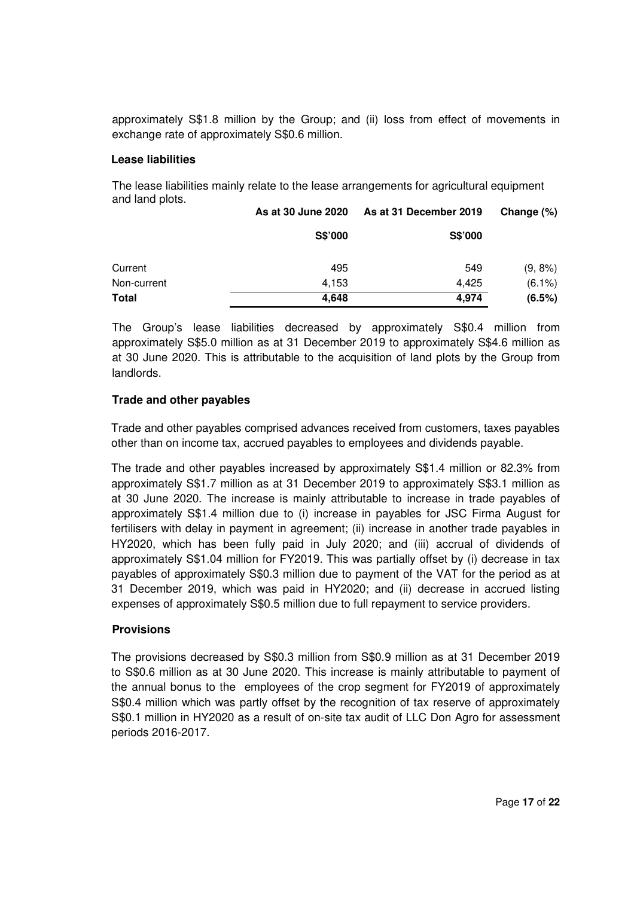approximately S\$1.8 million by the Group; and (ii) loss from effect of movements in exchange rate of approximately S\$0.6 million.

## **Lease liabilities**

The lease liabilities mainly relate to the lease arrangements for agricultural equipment and land plots.

|              | As at 30 June 2020 | As at 31 December 2019 | Change (%) |
|--------------|--------------------|------------------------|------------|
|              | S\$'000            | S\$'000                |            |
| Current      | 495                | 549                    | $(9, 8\%)$ |
| Non-current  | 4.153              | 4.425                  | $(6.1\%)$  |
| <b>Total</b> | 4,648              | 4,974                  | (6.5%)     |

The Group's lease liabilities decreased by approximately S\$0.4 million from approximately S\$5.0 million as at 31 December 2019 to approximately S\$4.6 million as at 30 June 2020. This is attributable to the acquisition of land plots by the Group from landlords.

# **Trade and other payables**

Trade and other payables comprised advances received from customers, taxes payables other than on income tax, accrued payables to employees and dividends payable.

The trade and other payables increased by approximately S\$1.4 million or 82.3% from approximately S\$1.7 million as at 31 December 2019 to approximately S\$3.1 million as at 30 June 2020. The increase is mainly attributable to increase in trade payables of approximately S\$1.4 million due to (i) increase in payables for JSC Firma August for fertilisers with delay in payment in agreement; (ii) increase in another trade payables in HY2020, which has been fully paid in July 2020; and (iii) accrual of dividends of approximately S\$1.04 million for FY2019. This was partially offset by (i) decrease in tax payables of approximately S\$0.3 million due to payment of the VAT for the period as at 31 December 2019, which was paid in HY2020; and (ii) decrease in accrued listing expenses of approximately S\$0.5 million due to full repayment to service providers.

# **Provisions**

The provisions decreased by S\$0.3 million from S\$0.9 million as at 31 December 2019 to S\$0.6 million as at 30 June 2020. This increase is mainly attributable to payment of the annual bonus to the employees of the crop segment for FY2019 of approximately S\$0.4 million which was partly offset by the recognition of tax reserve of approximately S\$0.1 million in HY2020 as a result of on-site tax audit of LLC Don Agro for assessment periods 2016-2017.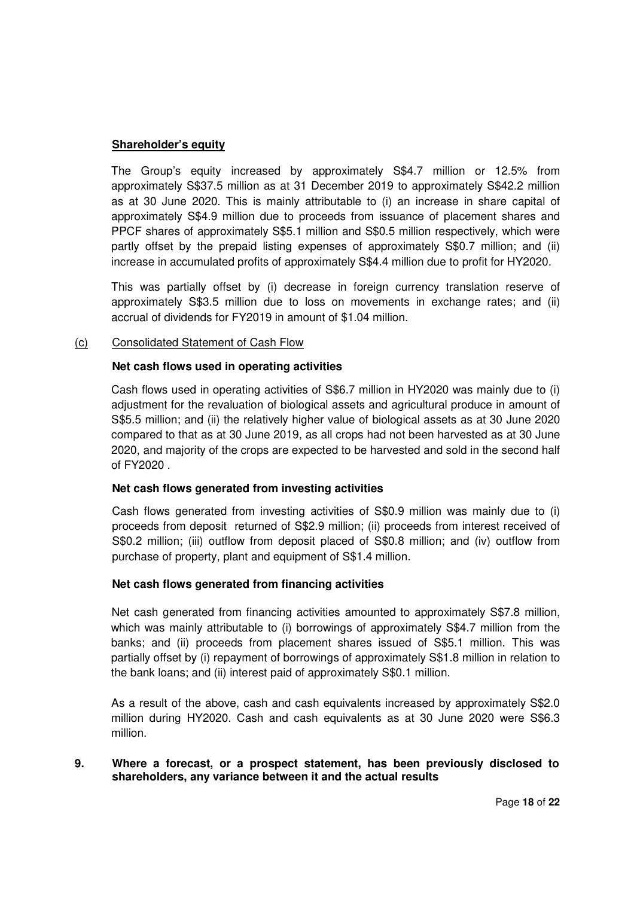# **Shareholder's equity**

The Group's equity increased by approximately S\$4.7 million or 12.5% from approximately S\$37.5 million as at 31 December 2019 to approximately S\$42.2 million as at 30 June 2020. This is mainly attributable to (i) an increase in share capital of approximately S\$4.9 million due to proceeds from issuance of placement shares and PPCF shares of approximately S\$5.1 million and S\$0.5 million respectively, which were partly offset by the prepaid listing expenses of approximately S\$0.7 million; and (ii) increase in accumulated profits of approximately S\$4.4 million due to profit for HY2020.

This was partially offset by (i) decrease in foreign currency translation reserve of approximately S\$3.5 million due to loss on movements in exchange rates; and (ii) accrual of dividends for FY2019 in amount of \$1.04 million.

# (c) Consolidated Statement of Cash Flow

# **Net cash flows used in operating activities**

Cash flows used in operating activities of S\$6.7 million in HY2020 was mainly due to (i) adjustment for the revaluation of biological assets and agricultural produce in amount of S\$5.5 million; and (ii) the relatively higher value of biological assets as at 30 June 2020 compared to that as at 30 June 2019, as all crops had not been harvested as at 30 June 2020, and majority of the crops are expected to be harvested and sold in the second half of FY2020 .

#### **Net cash flows generated from investing activities**

Cash flows generated from investing activities of S\$0.9 million was mainly due to (i) proceeds from deposit returned of S\$2.9 million; (ii) proceeds from interest received of S\$0.2 million; (iii) outflow from deposit placed of S\$0.8 million; and (iv) outflow from purchase of property, plant and equipment of S\$1.4 million.

# **Net cash flows generated from financing activities**

Net cash generated from financing activities amounted to approximately S\$7.8 million, which was mainly attributable to (i) borrowings of approximately S\$4.7 million from the banks; and (ii) proceeds from placement shares issued of S\$5.1 million. This was partially offset by (i) repayment of borrowings of approximately S\$1.8 million in relation to the bank loans; and (ii) interest paid of approximately S\$0.1 million.

As a result of the above, cash and cash equivalents increased by approximately S\$2.0 million during HY2020. Cash and cash equivalents as at 30 June 2020 were S\$6.3 million.

**9. Where a forecast, or a prospect statement, has been previously disclosed to shareholders, any variance between it and the actual results**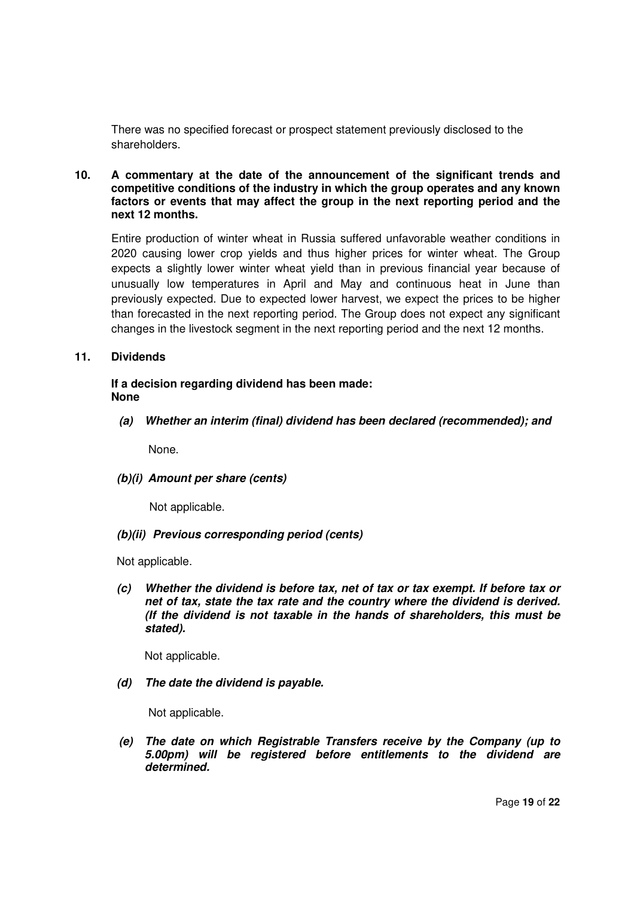There was no specified forecast or prospect statement previously disclosed to the shareholders.

## **10. A commentary at the date of the announcement of the significant trends and competitive conditions of the industry in which the group operates and any known factors or events that may affect the group in the next reporting period and the next 12 months.**

Entire production of winter wheat in Russia suffered unfavorable weather conditions in 2020 causing lower crop yields and thus higher prices for winter wheat. The Group expects a slightly lower winter wheat yield than in previous financial year because of unusually low temperatures in April and May and continuous heat in June than previously expected. Due to expected lower harvest, we expect the prices to be higher than forecasted in the next reporting period. The Group does not expect any significant changes in the livestock segment in the next reporting period and the next 12 months.

# **11. Dividends**

# **If a decision regarding dividend has been made: None**

**(a) Whether an interim (final) dividend has been declared (recommended); and** 

None.

**(b)(i) Amount per share (cents)** 

Not applicable.

# **(b)(ii) Previous corresponding period (cents)**

Not applicable.

**(c) Whether the dividend is before tax, net of tax or tax exempt. If before tax or net of tax, state the tax rate and the country where the dividend is derived. (If the dividend is not taxable in the hands of shareholders, this must be stated).** 

Not applicable.

**(d) The date the dividend is payable.** 

Not applicable.

**(e) The date on which Registrable Transfers receive by the Company (up to 5.00pm) will be registered before entitlements to the dividend are determined.**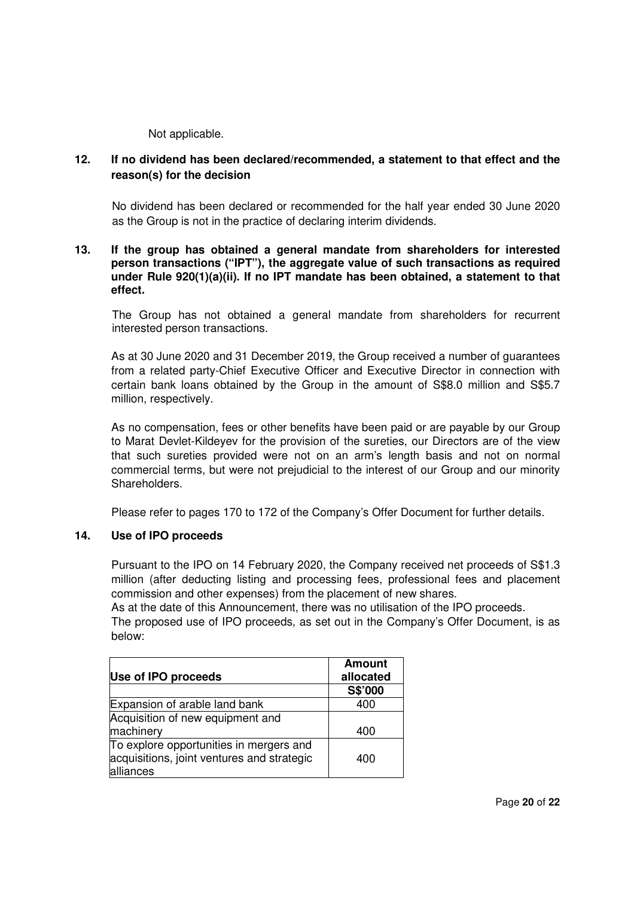Not applicable.

# **12. If no dividend has been declared/recommended, a statement to that effect and the reason(s) for the decision**

No dividend has been declared or recommended for the half year ended 30 June 2020 as the Group is not in the practice of declaring interim dividends.

## **13. If the group has obtained a general mandate from shareholders for interested person transactions ("IPT"), the aggregate value of such transactions as required under Rule 920(1)(a)(ii). If no IPT mandate has been obtained, a statement to that effect.**

The Group has not obtained a general mandate from shareholders for recurrent interested person transactions.

As at 30 June 2020 and 31 December 2019, the Group received a number of guarantees from a related party-Chief Executive Officer and Executive Director in connection with certain bank loans obtained by the Group in the amount of S\$8.0 million and S\$5.7 million, respectively.

As no compensation, fees or other benefits have been paid or are payable by our Group to Marat Devlet-Kildeyev for the provision of the sureties, our Directors are of the view that such sureties provided were not on an arm's length basis and not on normal commercial terms, but were not prejudicial to the interest of our Group and our minority Shareholders.

Please refer to pages 170 to 172 of the Company's Offer Document for further details.

# **14. Use of IPO proceeds**

Pursuant to the IPO on 14 February 2020, the Company received net proceeds of S\$1.3 million (after deducting listing and processing fees, professional fees and placement commission and other expenses) from the placement of new shares.

As at the date of this Announcement, there was no utilisation of the IPO proceeds.

The proposed use of IPO proceeds, as set out in the Company's Offer Document, is as below:

|                                                                                                    | <b>Amount</b> |
|----------------------------------------------------------------------------------------------------|---------------|
| Use of IPO proceeds                                                                                | allocated     |
|                                                                                                    | S\$'000       |
| Expansion of arable land bank                                                                      | 400           |
| Acquisition of new equipment and                                                                   |               |
| machinery                                                                                          | 400           |
| To explore opportunities in mergers and<br>acquisitions, joint ventures and strategic<br>alliances | 400           |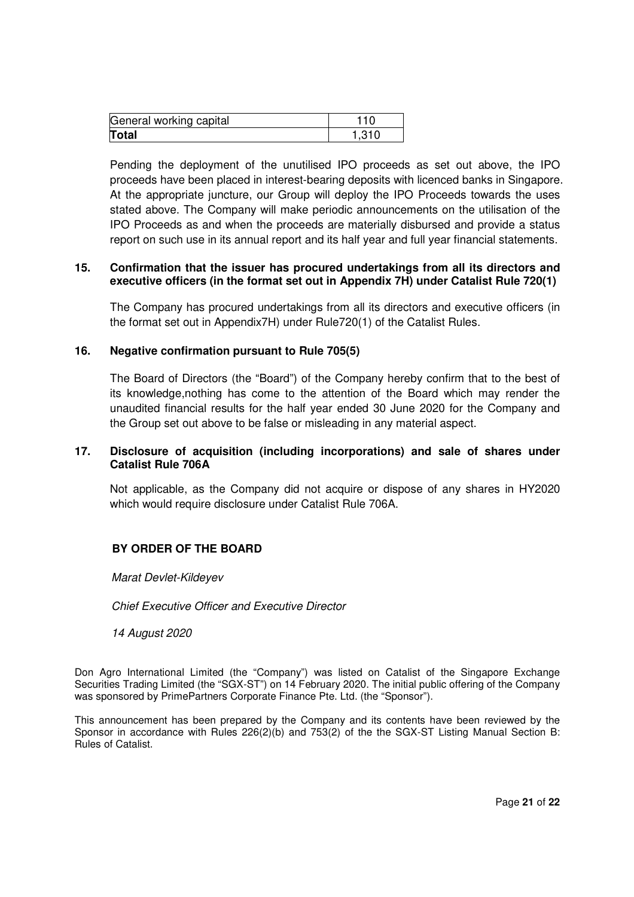| General working capital |  |
|-------------------------|--|
| <b>Total</b>            |  |

Pending the deployment of the unutilised IPO proceeds as set out above, the IPO proceeds have been placed in interest-bearing deposits with licenced banks in Singapore. At the appropriate juncture, our Group will deploy the IPO Proceeds towards the uses stated above. The Company will make periodic announcements on the utilisation of the IPO Proceeds as and when the proceeds are materially disbursed and provide a status report on such use in its annual report and its half year and full year financial statements.

# **15. Confirmation that the issuer has procured undertakings from all its directors and executive officers (in the format set out in Appendix 7H) under Catalist Rule 720(1)**

The Company has procured undertakings from all its directors and executive officers (in the format set out in Appendix7H) under Rule720(1) of the Catalist Rules.

# **16. Negative confirmation pursuant to Rule 705(5)**

The Board of Directors (the "Board") of the Company hereby confirm that to the best of its knowledge,nothing has come to the attention of the Board which may render the unaudited financial results for the half year ended 30 June 2020 for the Company and the Group set out above to be false or misleading in any material aspect.

# **17. Disclosure of acquisition (including incorporations) and sale of shares under Catalist Rule 706A**

Not applicable, as the Company did not acquire or dispose of any shares in HY2020 which would require disclosure under Catalist Rule 706A.

# **BY ORDER OF THE BOARD**

#### *Marat Devlet-Kildeyev*

*Chief Executive Officer and Executive Director*

#### *14 August 2020*

Don Agro International Limited (the "Company") was listed on Catalist of the Singapore Exchange Securities Trading Limited (the "SGX-ST") on 14 February 2020. The initial public offering of the Company was sponsored by PrimePartners Corporate Finance Pte. Ltd. (the "Sponsor").

This announcement has been prepared by the Company and its contents have been reviewed by the Sponsor in accordance with Rules 226(2)(b) and 753(2) of the the SGX-ST Listing Manual Section B: Rules of Catalist.